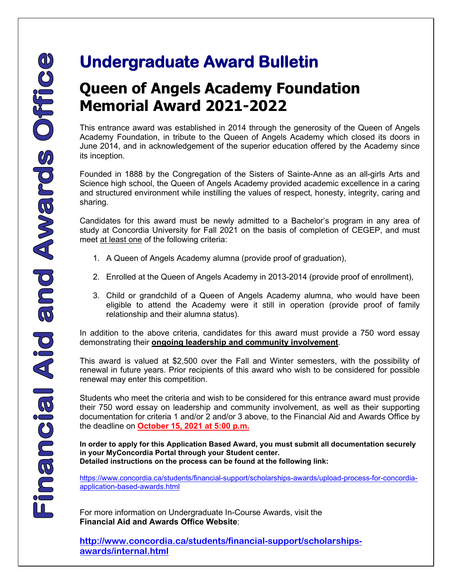## **Queen of Angels Academy Foundation Memorial Award 2021-2022**

This entrance award was established in 2014 through the generosity of the Queen of Angels Academy Foundation, in tribute to the Queen of Angels Academy which closed its doors in June 2014, and in acknowledgement of the superior education offered by the Academy since its inception.

Founded in 1888 by the Congregation of the Sisters of Sainte-Anne as an all-girls Arts and Science high school, the Queen of Angels Academy provided academic excellence in a caring and structured environment while instilling the values of respect, honesty, integrity, caring and sharing.

Candidates for this award must be newly admitted to a Bachelor's program in any area of study at Concordia University for Fall 2021 on the basis of completion of CEGEP, and must meet at least one of the following criteria:

- 1. A Queen of Angels Academy alumna (provide proof of graduation),
- 2. Enrolled at the Queen of Angels Academy in 2013-2014 (provide proof of enrollment),
- 3. Child or grandchild of a Queen of Angels Academy alumna, who would have been eligible to attend the Academy were it still in operation (provide proof of family relationship and their alumna status).

In addition to the above criteria, candidates for this award must provide a 750 word essay demonstrating their **ongoing leadership and community involvement**.

This award is valued at \$2,500 over the Fall and Winter semesters, with the possibility of renewal in future years. Prior recipients of this award who wish to be considered for possible renewal may enter this competition.

Students who meet the criteria and wish to be considered for this entrance award must provide their 750 word essay on leadership and community involvement, as well as their supporting documentation for criteria 1 and/or 2 and/or 3 above, to the Financial Aid and Awards Office by the deadline on **October 15, 2021 at 5:00 p.m.** 

**In order to apply for this Application Based Award, you must submit all documentation securely in your MyConcordia Portal through your Student center. Detailed instructions on the process can be found at the following link:** 

[https://www.concordia.ca/students/financial-support/scholarships-awards/upload-process-for-concordia](https://www.concordia.ca/students/financial-support/scholarships-awards/upload-process-for-concordia-application-based-awards.html)[application-based-awards.html](https://www.concordia.ca/students/financial-support/scholarships-awards/upload-process-for-concordia-application-based-awards.html)

 For more information on Undergraduate In-Course Awards, visit the **Financial Aid and Awards Office Website**:

**[http://www.concordia.ca/students/financial-support/scholarships](http://www.concordia.ca/students/financial-support/scholarships-awards/internal.html)[awards/internal.html](http://www.concordia.ca/students/financial-support/scholarships-awards/internal.html)**